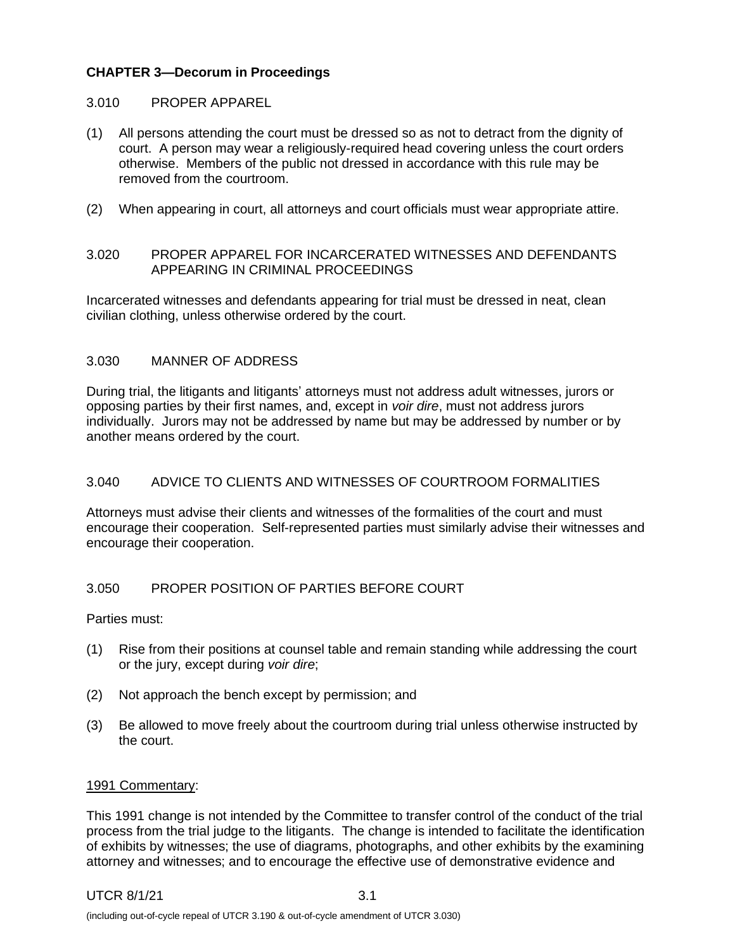## **CHAPTER 3—Decorum in Proceedings**

### 3.010 PROPER APPAREL

- (1) All persons attending the court must be dressed so as not to detract from the dignity of court. A person may wear a religiously-required head covering unless the court orders otherwise. Members of the public not dressed in accordance with this rule may be removed from the courtroom.
- (2) When appearing in court, all attorneys and court officials must wear appropriate attire.

### 3.020 PROPER APPAREL FOR INCARCERATED WITNESSES AND DEFENDANTS APPEARING IN CRIMINAL PROCEEDINGS

Incarcerated witnesses and defendants appearing for trial must be dressed in neat, clean civilian clothing, unless otherwise ordered by the court.

### 3.030 MANNER OF ADDRESS

During trial, the litigants and litigants' attorneys must not address adult witnesses, jurors or opposing parties by their first names, and, except in *voir dire*, must not address jurors individually. Jurors may not be addressed by name but may be addressed by number or by another means ordered by the court.

## 3.040 ADVICE TO CLIENTS AND WITNESSES OF COURTROOM FORMALITIES

Attorneys must advise their clients and witnesses of the formalities of the court and must encourage their cooperation. Self-represented parties must similarly advise their witnesses and encourage their cooperation.

## 3.050 PROPER POSITION OF PARTIES BEFORE COURT

Parties must:

- (1) Rise from their positions at counsel table and remain standing while addressing the court or the jury, except during *voir dire*;
- (2) Not approach the bench except by permission; and
- (3) Be allowed to move freely about the courtroom during trial unless otherwise instructed by the court.

#### 1991 Commentary:

This 1991 change is not intended by the Committee to transfer control of the conduct of the trial process from the trial judge to the litigants. The change is intended to facilitate the identification of exhibits by witnesses; the use of diagrams, photographs, and other exhibits by the examining attorney and witnesses; and to encourage the effective use of demonstrative evidence and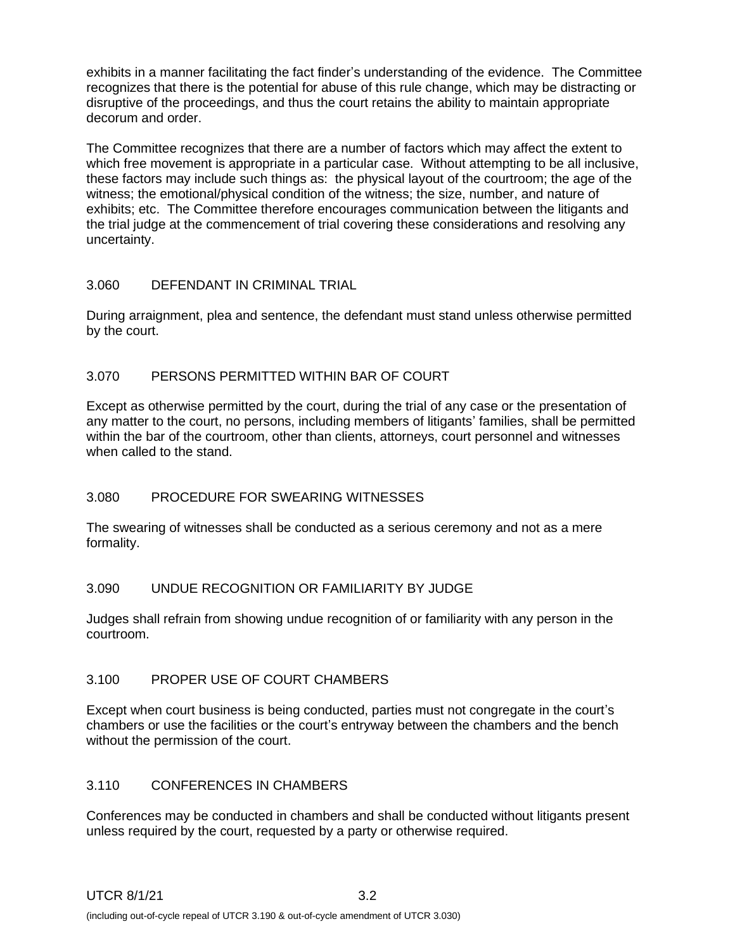exhibits in a manner facilitating the fact finder's understanding of the evidence. The Committee recognizes that there is the potential for abuse of this rule change, which may be distracting or disruptive of the proceedings, and thus the court retains the ability to maintain appropriate decorum and order.

The Committee recognizes that there are a number of factors which may affect the extent to which free movement is appropriate in a particular case. Without attempting to be all inclusive, these factors may include such things as: the physical layout of the courtroom; the age of the witness; the emotional/physical condition of the witness; the size, number, and nature of exhibits; etc. The Committee therefore encourages communication between the litigants and the trial judge at the commencement of trial covering these considerations and resolving any uncertainty.

## 3.060 DEFENDANT IN CRIMINAL TRIAL

During arraignment, plea and sentence, the defendant must stand unless otherwise permitted by the court.

## 3.070 PERSONS PERMITTED WITHIN BAR OF COURT

Except as otherwise permitted by the court, during the trial of any case or the presentation of any matter to the court, no persons, including members of litigants' families, shall be permitted within the bar of the courtroom, other than clients, attorneys, court personnel and witnesses when called to the stand.

# 3.080 PROCEDURE FOR SWEARING WITNESSES

The swearing of witnesses shall be conducted as a serious ceremony and not as a mere formality.

## 3.090 UNDUE RECOGNITION OR FAMILIARITY BY JUDGE

Judges shall refrain from showing undue recognition of or familiarity with any person in the courtroom.

## 3.100 PROPER USE OF COURT CHAMBERS

Except when court business is being conducted, parties must not congregate in the court's chambers or use the facilities or the court's entryway between the chambers and the bench without the permission of the court.

## 3.110 CONFERENCES IN CHAMBERS

Conferences may be conducted in chambers and shall be conducted without litigants present unless required by the court, requested by a party or otherwise required.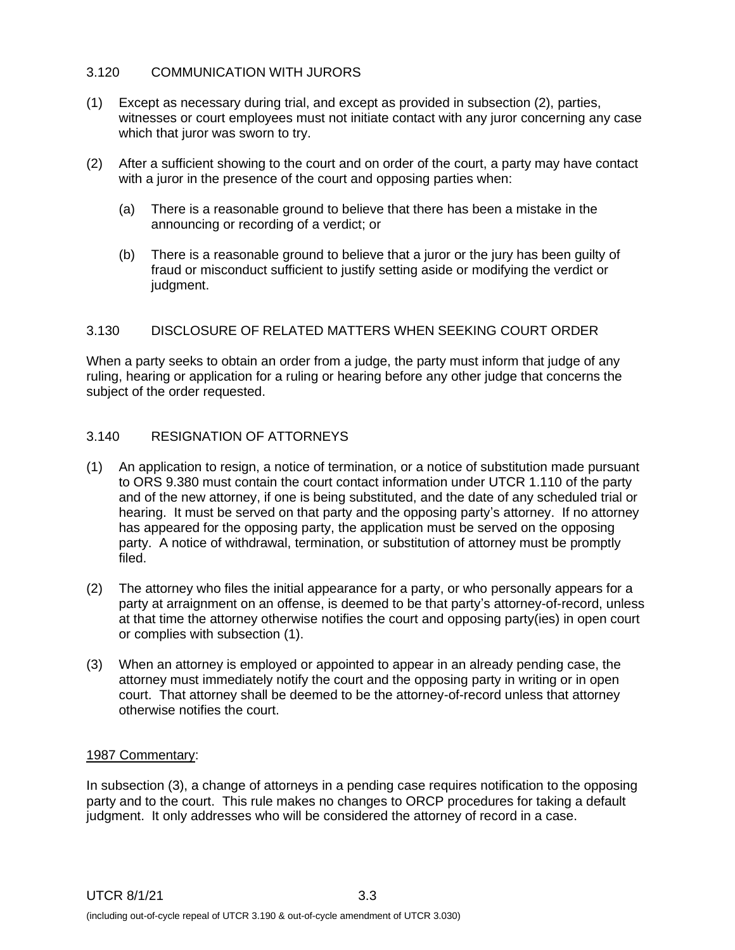## 3.120 COMMUNICATION WITH JURORS

- (1) Except as necessary during trial, and except as provided in subsection (2), parties, witnesses or court employees must not initiate contact with any juror concerning any case which that juror was sworn to try.
- (2) After a sufficient showing to the court and on order of the court, a party may have contact with a juror in the presence of the court and opposing parties when:
	- (a) There is a reasonable ground to believe that there has been a mistake in the announcing or recording of a verdict; or
	- (b) There is a reasonable ground to believe that a juror or the jury has been guilty of fraud or misconduct sufficient to justify setting aside or modifying the verdict or judament.

## 3.130 DISCLOSURE OF RELATED MATTERS WHEN SEEKING COURT ORDER

When a party seeks to obtain an order from a judge, the party must inform that judge of any ruling, hearing or application for a ruling or hearing before any other judge that concerns the subject of the order requested.

## 3.140 RESIGNATION OF ATTORNEYS

- (1) An application to resign, a notice of termination, or a notice of substitution made pursuant to ORS 9.380 must contain the court contact information under UTCR 1.110 of the party and of the new attorney, if one is being substituted, and the date of any scheduled trial or hearing. It must be served on that party and the opposing party's attorney. If no attorney has appeared for the opposing party, the application must be served on the opposing party. A notice of withdrawal, termination, or substitution of attorney must be promptly filed.
- (2) The attorney who files the initial appearance for a party, or who personally appears for a party at arraignment on an offense, is deemed to be that party's attorney-of-record, unless at that time the attorney otherwise notifies the court and opposing party(ies) in open court or complies with subsection (1).
- (3) When an attorney is employed or appointed to appear in an already pending case, the attorney must immediately notify the court and the opposing party in writing or in open court. That attorney shall be deemed to be the attorney-of-record unless that attorney otherwise notifies the court.

#### 1987 Commentary:

In subsection (3), a change of attorneys in a pending case requires notification to the opposing party and to the court. This rule makes no changes to ORCP procedures for taking a default judgment. It only addresses who will be considered the attorney of record in a case.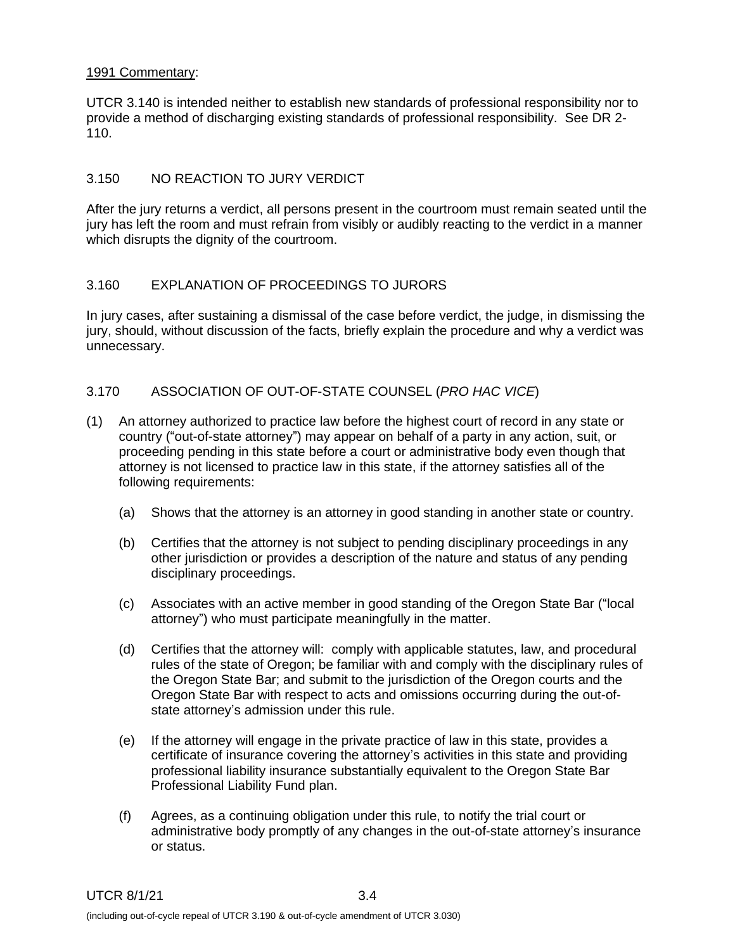### 1991 Commentary:

UTCR 3.140 is intended neither to establish new standards of professional responsibility nor to provide a method of discharging existing standards of professional responsibility. See DR 2- 110.

## 3.150 NO REACTION TO JURY VERDICT

After the jury returns a verdict, all persons present in the courtroom must remain seated until the jury has left the room and must refrain from visibly or audibly reacting to the verdict in a manner which disrupts the dignity of the courtroom.

## 3.160 EXPLANATION OF PROCEEDINGS TO JURORS

In jury cases, after sustaining a dismissal of the case before verdict, the judge, in dismissing the jury, should, without discussion of the facts, briefly explain the procedure and why a verdict was unnecessary.

### 3.170 ASSOCIATION OF OUT-OF-STATE COUNSEL (*PRO HAC VICE*)

- (1) An attorney authorized to practice law before the highest court of record in any state or country ("out-of-state attorney") may appear on behalf of a party in any action, suit, or proceeding pending in this state before a court or administrative body even though that attorney is not licensed to practice law in this state, if the attorney satisfies all of the following requirements:
	- (a) Shows that the attorney is an attorney in good standing in another state or country.
	- (b) Certifies that the attorney is not subject to pending disciplinary proceedings in any other jurisdiction or provides a description of the nature and status of any pending disciplinary proceedings.
	- (c) Associates with an active member in good standing of the Oregon State Bar ("local attorney") who must participate meaningfully in the matter.
	- (d) Certifies that the attorney will: comply with applicable statutes, law, and procedural rules of the state of Oregon; be familiar with and comply with the disciplinary rules of the Oregon State Bar; and submit to the jurisdiction of the Oregon courts and the Oregon State Bar with respect to acts and omissions occurring during the out-ofstate attorney's admission under this rule.
	- (e) If the attorney will engage in the private practice of law in this state, provides a certificate of insurance covering the attorney's activities in this state and providing professional liability insurance substantially equivalent to the Oregon State Bar Professional Liability Fund plan.
	- (f) Agrees, as a continuing obligation under this rule, to notify the trial court or administrative body promptly of any changes in the out-of-state attorney's insurance or status.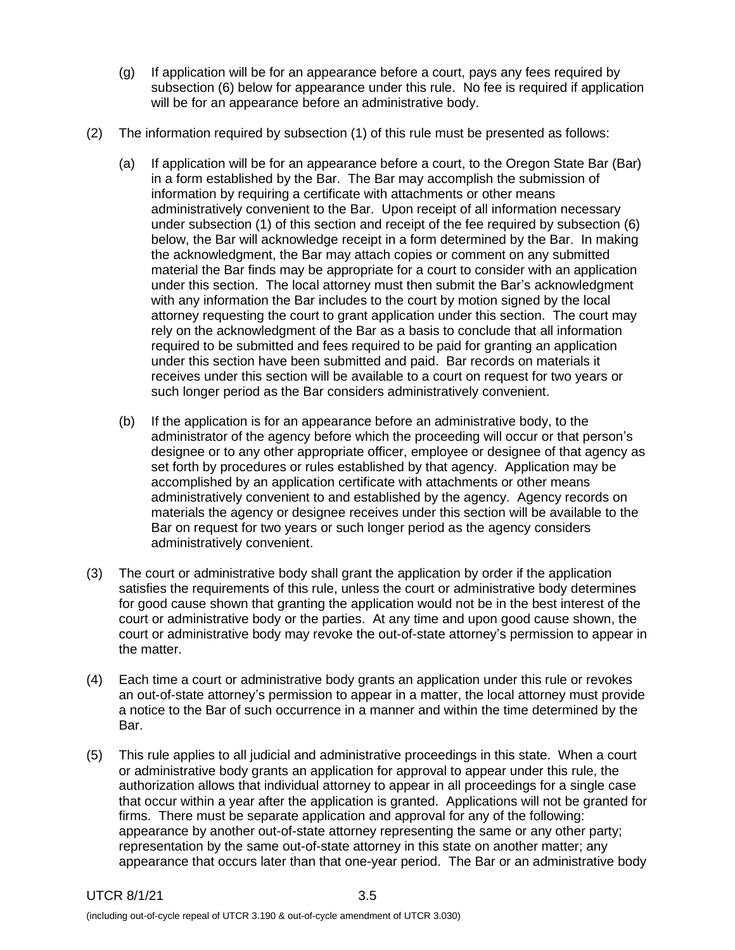- (g) If application will be for an appearance before a court, pays any fees required by subsection (6) below for appearance under this rule. No fee is required if application will be for an appearance before an administrative body.
- (2) The information required by subsection (1) of this rule must be presented as follows:
	- (a) If application will be for an appearance before a court, to the Oregon State Bar (Bar) in a form established by the Bar. The Bar may accomplish the submission of information by requiring a certificate with attachments or other means administratively convenient to the Bar. Upon receipt of all information necessary under subsection (1) of this section and receipt of the fee required by subsection (6) below, the Bar will acknowledge receipt in a form determined by the Bar. In making the acknowledgment, the Bar may attach copies or comment on any submitted material the Bar finds may be appropriate for a court to consider with an application under this section. The local attorney must then submit the Bar's acknowledgment with any information the Bar includes to the court by motion signed by the local attorney requesting the court to grant application under this section. The court may rely on the acknowledgment of the Bar as a basis to conclude that all information required to be submitted and fees required to be paid for granting an application under this section have been submitted and paid. Bar records on materials it receives under this section will be available to a court on request for two years or such longer period as the Bar considers administratively convenient.
	- (b) If the application is for an appearance before an administrative body, to the administrator of the agency before which the proceeding will occur or that person's designee or to any other appropriate officer, employee or designee of that agency as set forth by procedures or rules established by that agency. Application may be accomplished by an application certificate with attachments or other means administratively convenient to and established by the agency. Agency records on materials the agency or designee receives under this section will be available to the Bar on request for two years or such longer period as the agency considers administratively convenient.
- (3) The court or administrative body shall grant the application by order if the application satisfies the requirements of this rule, unless the court or administrative body determines for good cause shown that granting the application would not be in the best interest of the court or administrative body or the parties. At any time and upon good cause shown, the court or administrative body may revoke the out-of-state attorney's permission to appear in the matter.
- (4) Each time a court or administrative body grants an application under this rule or revokes an out-of-state attorney's permission to appear in a matter, the local attorney must provide a notice to the Bar of such occurrence in a manner and within the time determined by the Bar.
- (5) This rule applies to all judicial and administrative proceedings in this state. When a court or administrative body grants an application for approval to appear under this rule, the authorization allows that individual attorney to appear in all proceedings for a single case that occur within a year after the application is granted. Applications will not be granted for firms. There must be separate application and approval for any of the following: appearance by another out-of-state attorney representing the same or any other party; representation by the same out-of-state attorney in this state on another matter; any appearance that occurs later than that one-year period. The Bar or an administrative body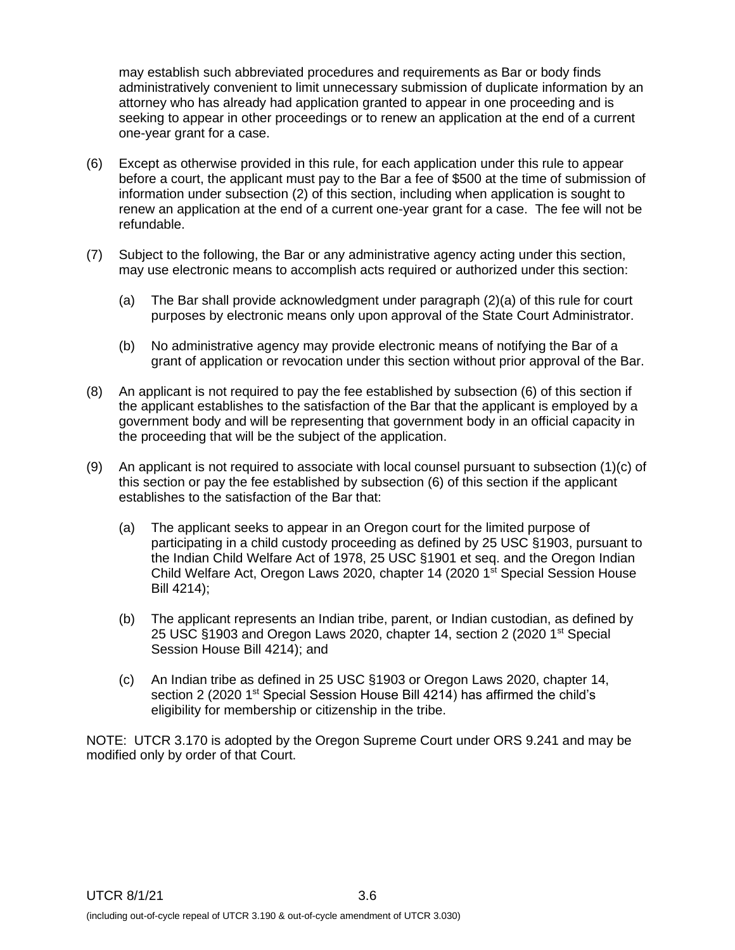may establish such abbreviated procedures and requirements as Bar or body finds administratively convenient to limit unnecessary submission of duplicate information by an attorney who has already had application granted to appear in one proceeding and is seeking to appear in other proceedings or to renew an application at the end of a current one-year grant for a case.

- (6) Except as otherwise provided in this rule, for each application under this rule to appear before a court, the applicant must pay to the Bar a fee of \$500 at the time of submission of information under subsection (2) of this section, including when application is sought to renew an application at the end of a current one-year grant for a case. The fee will not be refundable.
- (7) Subject to the following, the Bar or any administrative agency acting under this section, may use electronic means to accomplish acts required or authorized under this section:
	- (a) The Bar shall provide acknowledgment under paragraph (2)(a) of this rule for court purposes by electronic means only upon approval of the State Court Administrator.
	- (b) No administrative agency may provide electronic means of notifying the Bar of a grant of application or revocation under this section without prior approval of the Bar.
- (8) An applicant is not required to pay the fee established by subsection (6) of this section if the applicant establishes to the satisfaction of the Bar that the applicant is employed by a government body and will be representing that government body in an official capacity in the proceeding that will be the subject of the application.
- (9) An applicant is not required to associate with local counsel pursuant to subsection (1)(c) of this section or pay the fee established by subsection (6) of this section if the applicant establishes to the satisfaction of the Bar that:
	- (a) The applicant seeks to appear in an Oregon court for the limited purpose of participating in a child custody proceeding as defined by 25 USC §1903, pursuant to the Indian Child Welfare Act of 1978, 25 USC §1901 et seq. and the Oregon Indian Child Welfare Act, Oregon Laws 2020, chapter 14 (2020 1<sup>st</sup> Special Session House Bill 4214);
	- (b) The applicant represents an Indian tribe, parent, or Indian custodian, as defined by 25 USC §1903 and Oregon Laws 2020, chapter 14, section 2 (2020 1st Special Session House Bill 4214); and
	- (c) An Indian tribe as defined in 25 USC §1903 or Oregon Laws 2020, chapter 14, section 2 (2020 1<sup>st</sup> Special Session House Bill 4214) has affirmed the child's eligibility for membership or citizenship in the tribe.

NOTE: UTCR 3.170 is adopted by the Oregon Supreme Court under ORS 9.241 and may be modified only by order of that Court.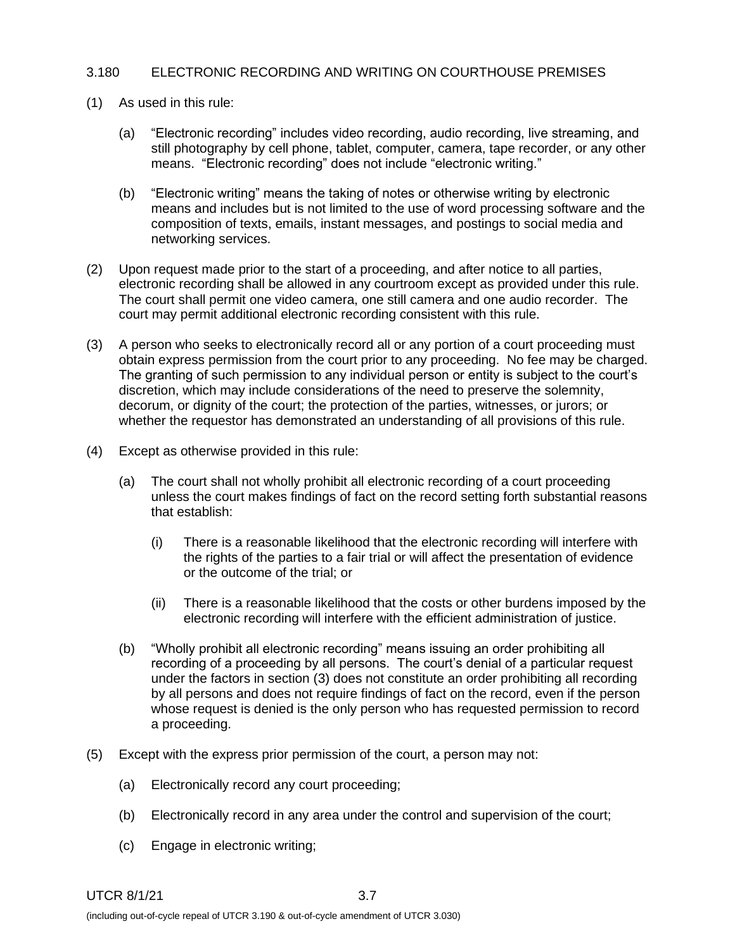## 3.180 ELECTRONIC RECORDING AND WRITING ON COURTHOUSE PREMISES

- (1) As used in this rule:
	- (a) "Electronic recording" includes video recording, audio recording, live streaming, and still photography by cell phone, tablet, computer, camera, tape recorder, or any other means. "Electronic recording" does not include "electronic writing."
	- (b) "Electronic writing" means the taking of notes or otherwise writing by electronic means and includes but is not limited to the use of word processing software and the composition of texts, emails, instant messages, and postings to social media and networking services.
- (2) Upon request made prior to the start of a proceeding, and after notice to all parties, electronic recording shall be allowed in any courtroom except as provided under this rule. The court shall permit one video camera, one still camera and one audio recorder. The court may permit additional electronic recording consistent with this rule.
- (3) A person who seeks to electronically record all or any portion of a court proceeding must obtain express permission from the court prior to any proceeding. No fee may be charged. The granting of such permission to any individual person or entity is subject to the court's discretion, which may include considerations of the need to preserve the solemnity, decorum, or dignity of the court; the protection of the parties, witnesses, or jurors; or whether the requestor has demonstrated an understanding of all provisions of this rule.
- (4) Except as otherwise provided in this rule:
	- (a) The court shall not wholly prohibit all electronic recording of a court proceeding unless the court makes findings of fact on the record setting forth substantial reasons that establish:
		- (i) There is a reasonable likelihood that the electronic recording will interfere with the rights of the parties to a fair trial or will affect the presentation of evidence or the outcome of the trial; or
		- (ii) There is a reasonable likelihood that the costs or other burdens imposed by the electronic recording will interfere with the efficient administration of justice.
	- (b) "Wholly prohibit all electronic recording" means issuing an order prohibiting all recording of a proceeding by all persons. The court's denial of a particular request under the factors in section (3) does not constitute an order prohibiting all recording by all persons and does not require findings of fact on the record, even if the person whose request is denied is the only person who has requested permission to record a proceeding.
- (5) Except with the express prior permission of the court, a person may not:
	- (a) Electronically record any court proceeding;
	- (b) Electronically record in any area under the control and supervision of the court;
	- (c) Engage in electronic writing;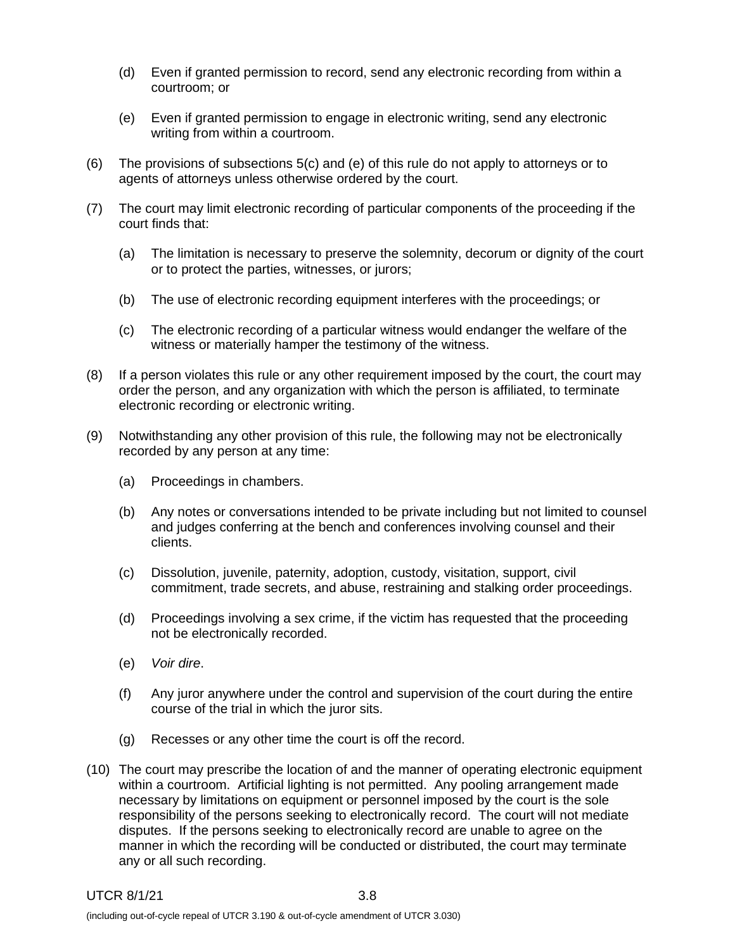- (d) Even if granted permission to record, send any electronic recording from within a courtroom; or
- (e) Even if granted permission to engage in electronic writing, send any electronic writing from within a courtroom.
- (6) The provisions of subsections 5(c) and (e) of this rule do not apply to attorneys or to agents of attorneys unless otherwise ordered by the court.
- (7) The court may limit electronic recording of particular components of the proceeding if the court finds that:
	- (a) The limitation is necessary to preserve the solemnity, decorum or dignity of the court or to protect the parties, witnesses, or jurors;
	- (b) The use of electronic recording equipment interferes with the proceedings; or
	- (c) The electronic recording of a particular witness would endanger the welfare of the witness or materially hamper the testimony of the witness.
- (8) If a person violates this rule or any other requirement imposed by the court, the court may order the person, and any organization with which the person is affiliated, to terminate electronic recording or electronic writing.
- (9) Notwithstanding any other provision of this rule, the following may not be electronically recorded by any person at any time:
	- (a) Proceedings in chambers.
	- (b) Any notes or conversations intended to be private including but not limited to counsel and judges conferring at the bench and conferences involving counsel and their clients.
	- (c) Dissolution, juvenile, paternity, adoption, custody, visitation, support, civil commitment, trade secrets, and abuse, restraining and stalking order proceedings.
	- (d) Proceedings involving a sex crime, if the victim has requested that the proceeding not be electronically recorded.
	- (e) *Voir dire*.
	- (f) Any juror anywhere under the control and supervision of the court during the entire course of the trial in which the juror sits.
	- (g) Recesses or any other time the court is off the record.
- (10) The court may prescribe the location of and the manner of operating electronic equipment within a courtroom. Artificial lighting is not permitted. Any pooling arrangement made necessary by limitations on equipment or personnel imposed by the court is the sole responsibility of the persons seeking to electronically record. The court will not mediate disputes. If the persons seeking to electronically record are unable to agree on the manner in which the recording will be conducted or distributed, the court may terminate any or all such recording.